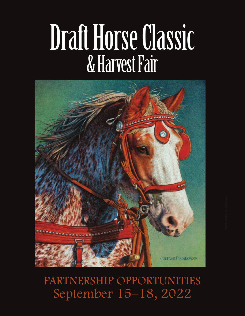# Draft Horse Classic & Harvest Fair



## PARTNERSHIP OPPORTUNITIES September 15–18, 2022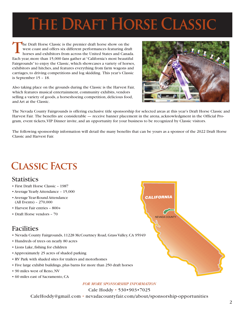## **The Draft Horse Classic**

The Draft Horse Classic is the premier draft horse show on the west coast and offers six different performances featuring draft horses and exhibitors from across the United States and Canada. Each year, more than 15,000 fans gather at "California's most beautiful Fairgrounds" to enjoy the Classic, which showcases a variety of horses, exhibitors and hitches, and features everything from farm wagons and carriages, to driving competitions and log skidding. This year's Classic is September 15 – 18.

Also taking place on the grounds during the Classic is the Harvest Fair, which features musical entertainment, community exhibits, vendors selling a variety of goods, a horseshoeing competition, delicious food, and Art at the Classic.



The Nevada County Fairgrounds is offering exclusive title sponsorship for selected areas at this year's Draft Horse Classic and Harvest Fair. The benefits are considerable — receive banner placement in the arena, acknowledgment in the Official Program, event tickets, VIP Dinner invite, and an opportunity for your business to be recognized by Classic visitors.

The following sponsorship information will detail the many benefits that can be yours as a sponsor of the 2022 Draft Horse Classic and Harvest Fair.

## **Classic Facts**

## **Statistics**

- First Draft Horse Classic 1987
- Average Yearly Attendance 15,000
- Average Year-Round Attendance (All Events) – 270,000
- Harvest Fair entries 800+
- Draft Horse vendors 70

## Facilities

- Nevada County Fairgrounds, 11228 McCourtney Road, Grass Valley, CA 95949
- Hundreds of trees on nearly 80 acres
- Lions Lake, fishing for children
- Approximately 25 acres of shaded parking
- RV Park with shaded sites for trailers and motorhomes
- Five large exhibit buildings, plus barns for more than 250 draft horses
- 90 miles west of Reno, NV
- 60 miles east of Sacramento, CA

## *FOR MORE SPONSORSHIP INFORMATION*

Cale Hoddy • 530•903•7025 CaleHoddy@gmail.com • nevadacountyfair.com/about/sponsorship-opportunities

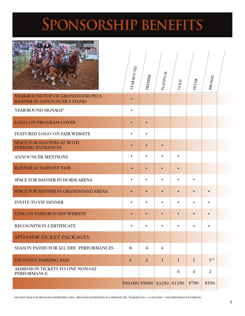## **Sponsorship benefits**

FEATURED LOGO ON FAIR WEBSITE

YEAR-ROUND PLATINUM PREMIER BRONZE SILVER GOLD . . . . . . . . YEAR-ROUND TOP OF GRANDSTAND PLUS • BANNER AT ANNOUNCER'S STAND YEAR-ROUND SIGNAGE\* • LOGO ON PROGRAM COVER • • SPACE FOR BANNERS AT BOTH • • • PARKING ENTRANCES ANNOUNCER MENTIONS • • • • BANNER AT HARVEST FAIR • • • • SPACE FOR BANNER IN HORSE ARENA • • • • • SPACE FOR BANNER IN GRANDSTAND ARENA • • • • • •

 $$10,000$   $$5000$   $$3250$   $$1350$   $$700$   $$550$ 

**INVITE TO VIP DINNER** 

RECOGNITION CERTIFICATE • • • • • • *SPONSOR TICKET PACKAGES:* SEASON PASSES FOR ALL DHC PERFORMANCES 8 6 4 VIP EVENT PARKING PASS 4 2 1 1 1 1\*\*

ADMISSION TICKETS TO ONE NON-SAT **FOR ALL 2** 6 4 2

SEE NEXT PAGE FOR PROGRAM ADVERTISING INFO. PROGRAM ADVERTISING IS A SEPARATE FEE. \*YEAR-ROUND = 12 MONTHS \*\* ONE PERFORMANCE PARKING

LINK ON FAIRGROUNDS WEBSITE  $\cdot \cdot \cdot \cdot \cdot$